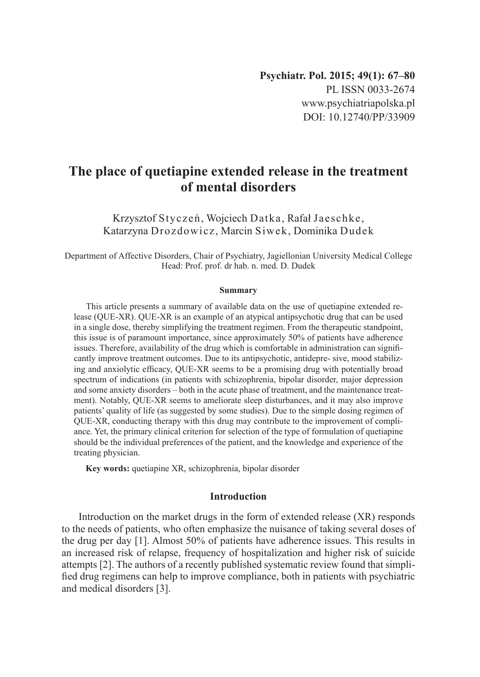# **The place of quetiapine extended release in the treatment of mental disorders**

Krzysztof Styczeń, Wojciech Datka, Rafał Jaeschke, Katarzyna Drozdowicz, Marcin Siwek, Dominika Dudek

Department of Affective Disorders, Chair of Psychiatry, Jagiellonian University Medical College Head: Prof. prof. dr hab. n. med. D. Dudek

#### **Summary**

This article presents a summary of available data on the use of quetiapine extended release (QUE-XR). QUE-XR is an example of an atypical antipsychotic drug that can be used in a single dose, thereby simplifying the treatment regimen. From the therapeutic standpoint, this issue is of paramount importance, since approximately 50% of patients have adherence issues. Therefore, availability of the drug which is comfortable in administration can significantly improve treatment outcomes. Due to its antipsychotic, antidepre- sive, mood stabilizing and anxiolytic efficacy, QUE-XR seems to be a promising drug with potentially broad spectrum of indications (in patients with schizophrenia, bipolar disorder, major depression and some anxiety disorders – both in the acute phase of treatment, and the maintenance treatment). Notably, QUE-XR seems to ameliorate sleep disturbances, and it may also improve patients' quality of life (as suggested by some studies). Due to the simple dosing regimen of QUE-XR, conducting therapy with this drug may contribute to the improvement of compliance. Yet, the primary clinical criterion for selection of the type of formulation of quetiapine should be the individual preferences of the patient, and the knowledge and experience of the treating physician.

**Key words:** quetiapine XR, schizophrenia, bipolar disorder

## **Introduction**

Introduction on the market drugs in the form of extended release (XR) responds to the needs of patients, who often emphasize the nuisance of taking several doses of the drug per day [1]. Almost 50% of patients have adherence issues. This results in an increased risk of relapse, frequency of hospitalization and higher risk of suicide attempts [2]. The authors of a recently published systematic review found that simplified drug regimens can help to improve compliance, both in patients with psychiatric and medical disorders [3].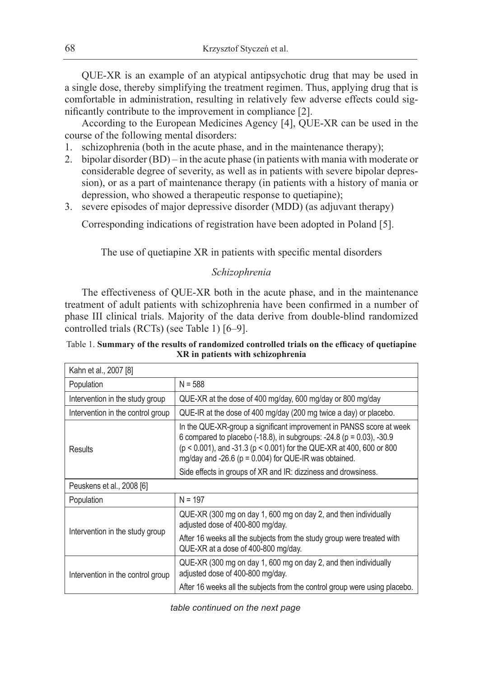QUE-XR is an example of an atypical antipsychotic drug that may be used in a single dose, thereby simplifying the treatment regimen. Thus, applying drug that is comfortable in administration, resulting in relatively few adverse effects could significantly contribute to the improvement in compliance [2].

According to the European Medicines Agency [4], QUE-XR can be used in the course of the following mental disorders:

- 1. schizophrenia (both in the acute phase, and in the maintenance therapy);
- 2. bipolar disorder (BD) in the acute phase (in patients with mania with moderate or considerable degree of severity, as well as in patients with severe bipolar depression), or as a part of maintenance therapy (in patients with a history of mania or depression, who showed a therapeutic response to quetiapine);
- 3. severe episodes of major depressive disorder (MDD) (as adjuvant therapy)

Corresponding indications of registration have been adopted in Poland [5].

The use of quetiapine XR in patients with specific mental disorders

## *Schizophrenia*

The effectiveness of QUE-XR both in the acute phase, and in the maintenance treatment of adult patients with schizophrenia have been confirmed in a number of phase III clinical trials. Majority of the data derive from double-blind randomized controlled trials (RCTs) (see Table 1) [6–9].

Table 1. **Summary of the results of randomized controlled trials on the efficacy of quetiapine XR in patients with schizophrenia**

| Kahn et al., 2007 [8]             |                                                                                                                                                                                                                                                                                       |
|-----------------------------------|---------------------------------------------------------------------------------------------------------------------------------------------------------------------------------------------------------------------------------------------------------------------------------------|
| Population                        | $N = 588$                                                                                                                                                                                                                                                                             |
| Intervention in the study group   | QUE-XR at the dose of 400 mg/day, 600 mg/day or 800 mg/day                                                                                                                                                                                                                            |
| Intervention in the control group | QUE-IR at the dose of 400 mg/day (200 mg twice a day) or placebo.                                                                                                                                                                                                                     |
| Results                           | In the QUE-XR-group a significant improvement in PANSS score at week<br>6 compared to placebo (-18.8), in subgroups: -24.8 ( $p = 0.03$ ), -30.9<br>(p < 0.001), and -31.3 (p < 0.001) for the QUE-XR at 400, 600 or 800<br>mg/day and -26.6 ( $p = 0.004$ ) for QUE-IR was obtained. |
|                                   | Side effects in groups of XR and IR: dizziness and drowsiness.                                                                                                                                                                                                                        |
| Peuskens et al., 2008 [6]         |                                                                                                                                                                                                                                                                                       |
| Population                        | $N = 197$                                                                                                                                                                                                                                                                             |
| Intervention in the study group   | QUE-XR (300 mg on day 1, 600 mg on day 2, and then individually<br>adjusted dose of 400-800 mg/day.                                                                                                                                                                                   |
|                                   | After 16 weeks all the subjects from the study group were treated with<br>QUE-XR at a dose of 400-800 mg/day.                                                                                                                                                                         |
| Intervention in the control group | QUE-XR (300 mg on day 1, 600 mg on day 2, and then individually<br>adjusted dose of 400-800 mg/day.                                                                                                                                                                                   |
|                                   | After 16 weeks all the subjects from the control group were using placebo.                                                                                                                                                                                                            |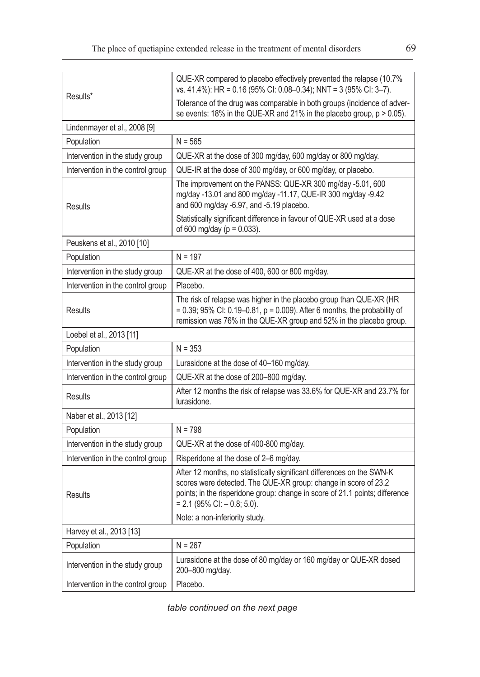| Results*                          | QUE-XR compared to placebo effectively prevented the relapse (10.7%<br>vs. 41.4%): HR = 0.16 (95% CI: 0.08-0.34); NNT = 3 (95% CI: 3-7).                                                                                                                      |
|-----------------------------------|---------------------------------------------------------------------------------------------------------------------------------------------------------------------------------------------------------------------------------------------------------------|
|                                   | Tolerance of the drug was comparable in both groups (incidence of adver-<br>se events: 18% in the QUE-XR and 21% in the placebo group, p > 0.05).                                                                                                             |
| Lindenmayer et al., 2008 [9]      |                                                                                                                                                                                                                                                               |
| Population                        | $N = 565$                                                                                                                                                                                                                                                     |
| Intervention in the study group   | QUE-XR at the dose of 300 mg/day, 600 mg/day or 800 mg/day.                                                                                                                                                                                                   |
| Intervention in the control group | QUE-IR at the dose of 300 mg/day, or 600 mg/day, or placebo.                                                                                                                                                                                                  |
| <b>Results</b>                    | The improvement on the PANSS: QUE-XR 300 mg/day -5.01, 600<br>mg/day -13.01 and 800 mg/day -11.17, QUE-IR 300 mg/day -9.42<br>and 600 mg/day -6.97, and -5.19 placebo.                                                                                        |
|                                   | Statistically significant difference in favour of QUE-XR used at a dose<br>of 600 mg/day ( $p = 0.033$ ).                                                                                                                                                     |
| Peuskens et al., 2010 [10]        |                                                                                                                                                                                                                                                               |
| Population                        | $N = 197$                                                                                                                                                                                                                                                     |
| Intervention in the study group   | QUE-XR at the dose of 400, 600 or 800 mg/day.                                                                                                                                                                                                                 |
| Intervention in the control group | Placebo.                                                                                                                                                                                                                                                      |
| Results                           | The risk of relapse was higher in the placebo group than QUE-XR (HR<br>$= 0.39$ ; 95% CI: 0.19–0.81, p = 0.009). After 6 months, the probability of<br>remission was 76% in the QUE-XR group and 52% in the placebo group.                                    |
| Loebel et al., 2013 [11]          |                                                                                                                                                                                                                                                               |
| Population                        | $N = 353$                                                                                                                                                                                                                                                     |
| Intervention in the study group   | Lurasidone at the dose of 40-160 mg/day.                                                                                                                                                                                                                      |
| Intervention in the control group | QUE-XR at the dose of 200-800 mg/day.                                                                                                                                                                                                                         |
| Results                           | After 12 months the risk of relapse was 33.6% for QUE-XR and 23.7% for<br>lurasidone.                                                                                                                                                                         |
| Naber et al., 2013 [12]           |                                                                                                                                                                                                                                                               |
| Population                        | $N = 798$                                                                                                                                                                                                                                                     |
| Intervention in the study group   | QUE-XR at the dose of 400-800 mg/day.                                                                                                                                                                                                                         |
| Intervention in the control group | Risperidone at the dose of 2-6 mg/day.                                                                                                                                                                                                                        |
| <b>Results</b>                    | After 12 months, no statistically significant differences on the SWN-K<br>scores were detected. The QUE-XR group: change in score of 23.2<br>points; in the risperidone group: change in score of 21.1 points; difference<br>$= 2.1$ (95% CI: $- 0.8$ ; 5.0). |
|                                   | Note: a non-inferiority study.                                                                                                                                                                                                                                |
| Harvey et al., 2013 [13]          |                                                                                                                                                                                                                                                               |
| Population                        | $N = 267$                                                                                                                                                                                                                                                     |
| Intervention in the study group   | Lurasidone at the dose of 80 mg/day or 160 mg/day or QUE-XR dosed<br>200-800 mg/day.                                                                                                                                                                          |
| Intervention in the control group | Placebo.                                                                                                                                                                                                                                                      |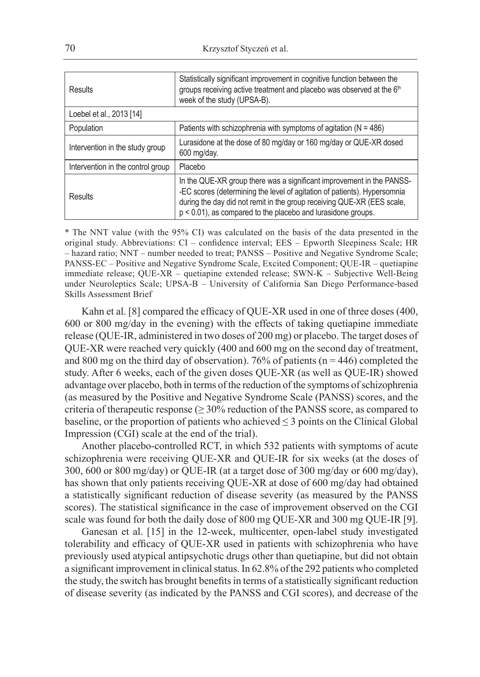| Results                           | Statistically significant improvement in cognitive function between the<br>groups receiving active treatment and placebo was observed at the 6th<br>week of the study (UPSA-B).                                                                                                                |
|-----------------------------------|------------------------------------------------------------------------------------------------------------------------------------------------------------------------------------------------------------------------------------------------------------------------------------------------|
| Loebel et al., 2013 [14]          |                                                                                                                                                                                                                                                                                                |
| Population                        | Patients with schizophrenia with symptoms of agitation ( $N = 486$ )                                                                                                                                                                                                                           |
| Intervention in the study group   | Lurasidone at the dose of 80 mg/day or 160 mg/day or QUE-XR dosed<br>600 mg/day.                                                                                                                                                                                                               |
| Intervention in the control group | Placebo                                                                                                                                                                                                                                                                                        |
| Results                           | In the QUE-XR group there was a significant improvement in the PANSS-<br>-EC scores (determining the level of agitation of patients). Hypersomnia<br>during the day did not remit in the group receiving QUE-XR (EES scale,<br>$p < 0.01$ ), as compared to the placebo and lurasidone groups. |

\* The NNT value (with the 95% CI) was calculated on the basis of the data presented in the original study. Abbreviations: CI – confidence interval; EES – Epworth Sleepiness Scale; HR – hazard ratio; NNT – number needed to treat; PANSS – Positive and Negative Syndrome Scale; PANSS-EC – Positive and Negative Syndrome Scale, Excited Component; QUE-IR – quetiapine immediate release; QUE-XR – quetiapine extended release; SWN-K – Subjective Well-Being under Neuroleptics Scale; UPSA-B – University of California San Diego Performance-based Skills Assessment Brief

Kahn et al. [8] compared the efficacy of QUE-XR used in one of three doses (400, 600 or 800 mg/day in the evening) with the effects of taking quetiapine immediate release (QUE-IR, administered in two doses of 200 mg) or placebo. The target doses of QUE-XR were reached very quickly (400 and 600 mg on the second day of treatment, and 800 mg on the third day of observation). 76% of patients ( $n = 446$ ) completed the study. After 6 weeks, each of the given doses QUE-XR (as well as QUE-IR) showed advantage over placebo, both in terms of the reduction of the symptoms of schizophrenia (as measured by the Positive and Negative Syndrome Scale (PANSS) scores, and the criteria of therapeutic response ( $\geq$  30% reduction of the PANSS score, as compared to baseline, or the proportion of patients who achieved  $\leq$  3 points on the Clinical Global Impression (CGI) scale at the end of the trial).

Another placebo-controlled RCT, in which 532 patients with symptoms of acute schizophrenia were receiving QUE-XR and QUE-IR for six weeks (at the doses of 300, 600 or 800 mg/day) or QUE-IR (at a target dose of 300 mg/day or 600 mg/day), has shown that only patients receiving QUE-XR at dose of 600 mg/day had obtained a statistically significant reduction of disease severity (as measured by the PANSS scores). The statistical significance in the case of improvement observed on the CGI scale was found for both the daily dose of 800 mg QUE-XR and 300 mg QUE-IR [9].

Ganesan et al. [15] in the 12-week, multicenter, open-label study investigated tolerability and efficacy of QUE-XR used in patients with schizophrenia who have previously used atypical antipsychotic drugs other than quetiapine, but did not obtain a significant improvement in clinical status. In 62.8% of the 292 patients who completed the study, the switch has brought benefits in terms of a statistically significant reduction of disease severity (as indicated by the PANSS and CGI scores), and decrease of the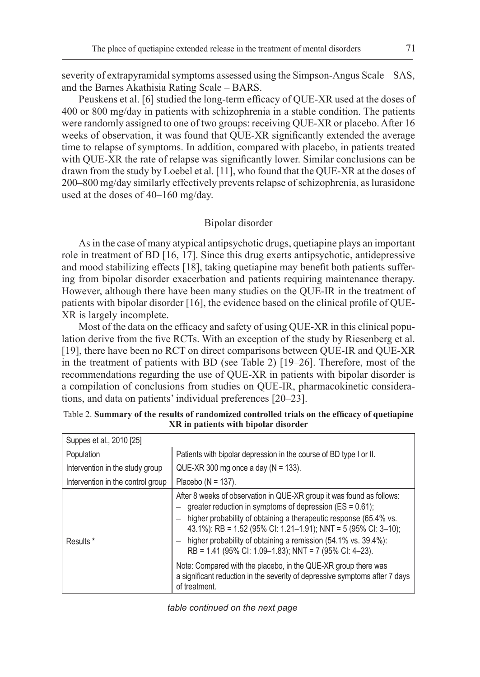severity of extrapyramidal symptoms assessed using the Simpson-Angus Scale – SAS, and the Barnes Akathisia Rating Scale – BARS.

Peuskens et al. [6] studied the long-term efficacy of QUE-XR used at the doses of 400 or 800 mg/day in patients with schizophrenia in a stable condition. The patients were randomly assigned to one of two groups: receiving QUE-XR or placebo. After 16 weeks of observation, it was found that QUE-XR significantly extended the average time to relapse of symptoms. In addition, compared with placebo, in patients treated with QUE-XR the rate of relapse was significantly lower. Similar conclusions can be drawn from the study by Loebel et al. [11], who found that the QUE-XR at the doses of 200–800 mg/day similarly effectively prevents relapse of schizophrenia, as lurasidone used at the doses of 40–160 mg/day.

## Bipolar disorder

As in the case of many atypical antipsychotic drugs, quetiapine plays an important role in treatment of BD [16, 17]. Since this drug exerts antipsychotic, antidepressive and mood stabilizing effects [18], taking quetiapine may benefit both patients suffering from bipolar disorder exacerbation and patients requiring maintenance therapy. However, although there have been many studies on the QUE-IR in the treatment of patients with bipolar disorder [16], the evidence based on the clinical profile of QUE-XR is largely incomplete.

Most of the data on the efficacy and safety of using QUE-XR in this clinical population derive from the five RCTs. With an exception of the study by Riesenberg et al. [19], there have been no RCT on direct comparisons between QUE-IR and QUE-XR in the treatment of patients with BD (see Table 2) [19–26]. Therefore, most of the recommendations regarding the use of QUE-XR in patients with bipolar disorder is a compilation of conclusions from studies on QUE-IR, pharmacokinetic considerations, and data on patients' individual preferences [20–23].

| Suppes et al., 2010 [25]          |                                                                                                                                                                                                                                                                                                                                                                                                          |
|-----------------------------------|----------------------------------------------------------------------------------------------------------------------------------------------------------------------------------------------------------------------------------------------------------------------------------------------------------------------------------------------------------------------------------------------------------|
| Population                        | Patients with bipolar depression in the course of BD type I or II.                                                                                                                                                                                                                                                                                                                                       |
| Intervention in the study group   | QUE-XR 300 mg once a day ( $N = 133$ ).                                                                                                                                                                                                                                                                                                                                                                  |
| Intervention in the control group | Placebo ( $N = 137$ ).                                                                                                                                                                                                                                                                                                                                                                                   |
| Results *                         | After 8 weeks of observation in QUE-XR group it was found as follows:<br>greater reduction in symptoms of depression ( $ES = 0.61$ );<br>higher probability of obtaining a therapeutic response (65.4% vs.<br>43.1%): RB = 1.52 (95% CI: 1.21-1.91); NNT = 5 (95% CI: 3-10);<br>higher probability of obtaining a remission (54.1% vs. 39.4%):<br>RB = 1.41 (95% CI: 1.09–1.83); NNT = 7 (95% CI: 4–23). |
|                                   | Note: Compared with the placebo, in the QUE-XR group there was<br>a significant reduction in the severity of depressive symptoms after 7 days<br>of treatment.                                                                                                                                                                                                                                           |

| Table 2. Summary of the results of randomized controlled trials on the efficacy of quetiapine |  |
|-----------------------------------------------------------------------------------------------|--|
| XR in patients with bipolar disorder                                                          |  |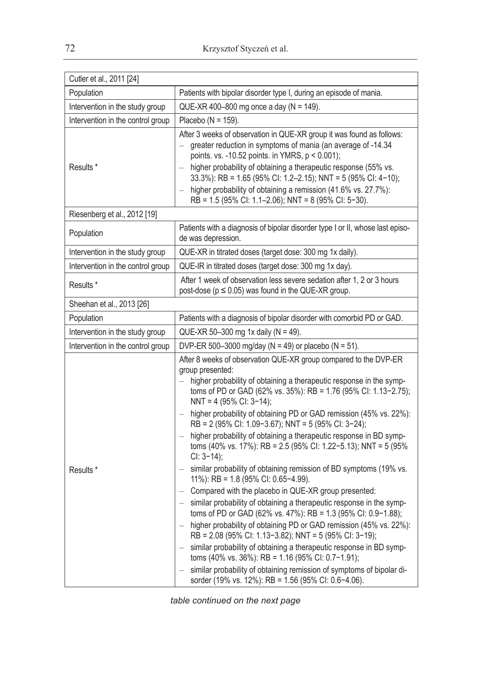| Cutler et al., 2011 [24]          |                                                                                                                                                                                                                                                                                                                                                                                                                                                                                                                                                                                                                                                                                                                                                                                                                                                                                                                                                                                                                                                                                                                                                                                                                                                                                          |
|-----------------------------------|------------------------------------------------------------------------------------------------------------------------------------------------------------------------------------------------------------------------------------------------------------------------------------------------------------------------------------------------------------------------------------------------------------------------------------------------------------------------------------------------------------------------------------------------------------------------------------------------------------------------------------------------------------------------------------------------------------------------------------------------------------------------------------------------------------------------------------------------------------------------------------------------------------------------------------------------------------------------------------------------------------------------------------------------------------------------------------------------------------------------------------------------------------------------------------------------------------------------------------------------------------------------------------------|
| Population                        | Patients with bipolar disorder type I, during an episode of mania.                                                                                                                                                                                                                                                                                                                                                                                                                                                                                                                                                                                                                                                                                                                                                                                                                                                                                                                                                                                                                                                                                                                                                                                                                       |
| Intervention in the study group   | QUE-XR 400-800 mg once a day ( $N = 149$ ).                                                                                                                                                                                                                                                                                                                                                                                                                                                                                                                                                                                                                                                                                                                                                                                                                                                                                                                                                                                                                                                                                                                                                                                                                                              |
| Intervention in the control group | Placebo ( $N = 159$ ).                                                                                                                                                                                                                                                                                                                                                                                                                                                                                                                                                                                                                                                                                                                                                                                                                                                                                                                                                                                                                                                                                                                                                                                                                                                                   |
| Results <sup>*</sup>              | After 3 weeks of observation in QUE-XR group it was found as follows:<br>greater reduction in symptoms of mania (an average of -14.34<br>points. vs. -10.52 points. in YMRS, p < 0.001);<br>higher probability of obtaining a therapeutic response (55% vs.<br>33.3%): RB = 1.65 (95% CI: 1.2-2.15); NNT = 5 (95% CI: 4-10);<br>higher probability of obtaining a remission (41.6% vs. 27.7%):                                                                                                                                                                                                                                                                                                                                                                                                                                                                                                                                                                                                                                                                                                                                                                                                                                                                                           |
|                                   | RB = 1.5 (95% CI: 1.1–2.06); NNT = 8 (95% CI: 5-30).                                                                                                                                                                                                                                                                                                                                                                                                                                                                                                                                                                                                                                                                                                                                                                                                                                                                                                                                                                                                                                                                                                                                                                                                                                     |
| Riesenberg et al., 2012 [19]      |                                                                                                                                                                                                                                                                                                                                                                                                                                                                                                                                                                                                                                                                                                                                                                                                                                                                                                                                                                                                                                                                                                                                                                                                                                                                                          |
| Population                        | Patients with a diagnosis of bipolar disorder type I or II, whose last episo-<br>de was depression.                                                                                                                                                                                                                                                                                                                                                                                                                                                                                                                                                                                                                                                                                                                                                                                                                                                                                                                                                                                                                                                                                                                                                                                      |
| Intervention in the study group   | QUE-XR in titrated doses (target dose: 300 mg 1x daily).                                                                                                                                                                                                                                                                                                                                                                                                                                                                                                                                                                                                                                                                                                                                                                                                                                                                                                                                                                                                                                                                                                                                                                                                                                 |
| Intervention in the control group | QUE-IR in titrated doses (target dose: 300 mg 1x day).                                                                                                                                                                                                                                                                                                                                                                                                                                                                                                                                                                                                                                                                                                                                                                                                                                                                                                                                                                                                                                                                                                                                                                                                                                   |
| Results *                         | After 1 week of observation less severe sedation after 1, 2 or 3 hours<br>post-dose ( $p \le 0.05$ ) was found in the QUE-XR group.                                                                                                                                                                                                                                                                                                                                                                                                                                                                                                                                                                                                                                                                                                                                                                                                                                                                                                                                                                                                                                                                                                                                                      |
| Sheehan et al., 2013 [26]         |                                                                                                                                                                                                                                                                                                                                                                                                                                                                                                                                                                                                                                                                                                                                                                                                                                                                                                                                                                                                                                                                                                                                                                                                                                                                                          |
| Population                        | Patients with a diagnosis of bipolar disorder with comorbid PD or GAD.                                                                                                                                                                                                                                                                                                                                                                                                                                                                                                                                                                                                                                                                                                                                                                                                                                                                                                                                                                                                                                                                                                                                                                                                                   |
| Intervention in the study group   | QUE-XR 50-300 mg 1x daily (N = 49).                                                                                                                                                                                                                                                                                                                                                                                                                                                                                                                                                                                                                                                                                                                                                                                                                                                                                                                                                                                                                                                                                                                                                                                                                                                      |
| Intervention in the control group | DVP-ER 500-3000 mg/day (N = 49) or placebo (N = 51).                                                                                                                                                                                                                                                                                                                                                                                                                                                                                                                                                                                                                                                                                                                                                                                                                                                                                                                                                                                                                                                                                                                                                                                                                                     |
| Results *                         | After 8 weeks of observation QUE-XR group compared to the DVP-ER<br>group presented:<br>higher probability of obtaining a therapeutic response in the symp-<br>toms of PD or GAD (62% vs. 35%): RB = 1.76 (95% CI: 1.13-2.75);<br>NNT = 4 (95% CI: 3-14);<br>- higher probability of obtaining PD or GAD remission (45% vs. 22%):<br>RB = 2 (95% CI: 1.09-3.67); NNT = 5 (95% CI: 3-24);<br>higher probability of obtaining a therapeutic response in BD symp-<br>toms (40% vs. 17%): RB = 2.5 (95% CI: 1.22-5.13); NNT = 5 (95%<br>$Cl: 3-14);$<br>similar probability of obtaining remission of BD symptoms (19% vs.<br>11%): RB = 1.8 (95% CI: 0.65-4.99).<br>- Compared with the placebo in QUE-XR group presented:<br>similar probability of obtaining a therapeutic response in the symp-<br>toms of PD or GAD (62% vs. 47%): RB = 1.3 (95% CI: 0.9-1.88);<br>higher probability of obtaining PD or GAD remission (45% vs. 22%):<br>RB = 2.08 (95% CI: 1.13-3.82); NNT = 5 (95% CI: 3-19);<br>similar probability of obtaining a therapeutic response in BD symp-<br>$\overline{\phantom{0}}$<br>toms (40% vs. 36%): RB = 1.16 (95% CI: 0.7-1.91);<br>similar probability of obtaining remission of symptoms of bipolar di-<br>sorder (19% vs. 12%): RB = 1.56 (95% CI: 0.6-4.06). |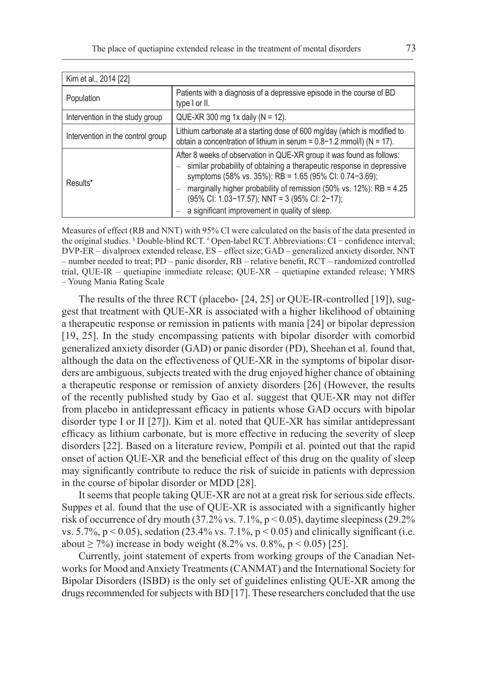| Kim et al., 2014 [22]             |                                                                                                                                                                                                                                                                                                                                                                                    |
|-----------------------------------|------------------------------------------------------------------------------------------------------------------------------------------------------------------------------------------------------------------------------------------------------------------------------------------------------------------------------------------------------------------------------------|
| Population                        | Patients with a diagnosis of a depressive episode in the course of BD<br>type I or II.                                                                                                                                                                                                                                                                                             |
| Intervention in the study group   | QUE-XR 300 mg 1x daily ( $N = 12$ ).                                                                                                                                                                                                                                                                                                                                               |
| Intervention in the control group | Lithium carbonate at a starting dose of 600 mg/day (which is modified to<br>obtain a concentration of lithium in serum = $0.8-1.2$ mmol/l) (N = 17).                                                                                                                                                                                                                               |
| Results*                          | After 8 weeks of observation in QUE-XR group it was found as follows:<br>similar probability of obtaining a therapeutic response in depressive<br>symptoms (58% vs. 35%): RB = 1.65 (95% CI: 0.74-3.69);<br>marginally higher probability of remission (50% vs. 12%): RB = 4.25<br>(95% CI: 1.03-17.57); NNT = 3 (95% CI: 2-17);<br>a significant improvement in quality of sleep. |

Measures of effect (RB and NNT) with 95% CI were calculated on the basis of the data presented in the original studies. § Double-blind RCT. # Open-label RCT. Abbreviations: CI − confidence interval; DVP-ER – divalproex extended release, ES – effect size; GAD – generalized anxiety disorder, NNT – number needed to treat; PD – panic disorder, RB – relative benefit, RCT – randomized controlled trial, QUE-IR – quetiapine immediate release; QUE-XR – quetiapine extanded release; YMRS – Young Mania Rating Scale

The results of the three RCT (placebo- [24, 25] or QUE-IR-controlled [19]), suggest that treatment with QUE-XR is associated with a higher likelihood of obtaining a therapeutic response or remission in patients with mania [24] or bipolar depression [19, 25]. In the study encompassing patients with bipolar disorder with comorbid generalized anxiety disorder (GAD) or panic disorder (PD), Sheehan et al. found that, although the data on the effectiveness of QUE-XR in the symptoms of bipolar disorders are ambiguous, subjects treated with the drug enjoyed higher chance of obtaining a therapeutic response or remission of anxiety disorders [26] (However, the results of the recently published study by Gao et al. suggest that QUE-XR may not differ from placebo in antidepressant efficacy in patients whose GAD occurs with bipolar disorder type I or II [27]). Kim et al. noted that QUE-XR has similar antidepressant efficacy as lithium carbonate, but is more effective in reducing the severity of sleep disorders [22]. Based on a literature review, Pompili et al. pointed out that the rapid onset of action QUE-XR and the beneficial effect of this drug on the quality of sleep may significantly contribute to reduce the risk of suicide in patients with depression in the course of bipolar disorder or MDD [28].

It seems that people taking QUE-XR are not at a great risk for serious side effects. Suppes et al. found that the use of QUE-XR is associated with a significantly higher risk of occurrence of dry mouth (37.2% vs.  $7.1\%$ , p < 0.05), daytime sleepiness (29.2%) vs. 5.7%,  $p < 0.05$ ), sedation (23.4% vs. 7.1%,  $p < 0.05$ ) and clinically significant (i.e. about ≥ 7%) increase in body weight  $(8.2\% \text{ vs. } 0.8\%, \text{ p} < 0.05)$  [25].

Currently, joint statement of experts from working groups of the Canadian Networks for Mood and Anxiety Treatments (CANMAT) and the International Society for Bipolar Disorders (ISBD) is the only set of guidelines enlisting QUE-XR among the drugs recommended for subjects with BD [17]. These researchers concluded that the use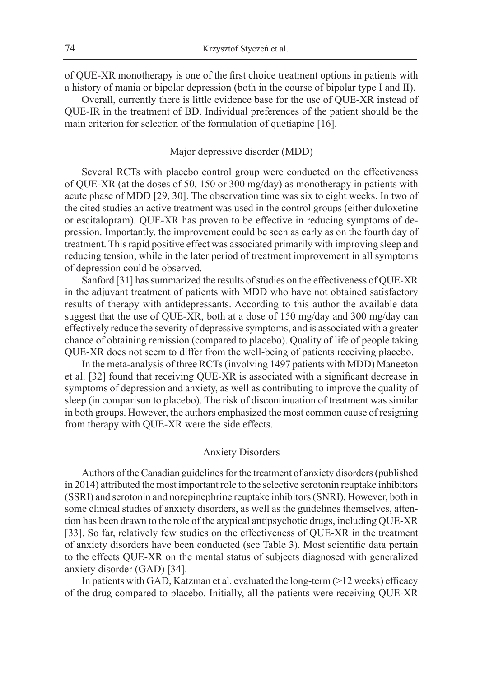of QUE-XR monotherapy is one of the first choice treatment options in patients with a history of mania or bipolar depression (both in the course of bipolar type I and II).

Overall, currently there is little evidence base for the use of QUE-XR instead of QUE-IR in the treatment of BD. Individual preferences of the patient should be the main criterion for selection of the formulation of quetiapine [16].

#### Major depressive disorder (MDD)

Several RCTs with placebo control group were conducted on the effectiveness of QUE-XR (at the doses of 50, 150 or 300 mg/day) as monotherapy in patients with acute phase of MDD [29, 30]. The observation time was six to eight weeks. In two of the cited studies an active treatment was used in the control groups (either duloxetine or escitalopram). QUE-XR has proven to be effective in reducing symptoms of depression. Importantly, the improvement could be seen as early as on the fourth day of treatment. This rapid positive effect was associated primarily with improving sleep and reducing tension, while in the later period of treatment improvement in all symptoms of depression could be observed.

Sanford [31] has summarized the results of studies on the effectiveness of QUE-XR in the adjuvant treatment of patients with MDD who have not obtained satisfactory results of therapy with antidepressants. According to this author the available data suggest that the use of QUE-XR, both at a dose of 150 mg/day and 300 mg/day can effectively reduce the severity of depressive symptoms, and is associated with a greater chance of obtaining remission (compared to placebo). Quality of life of people taking QUE-XR does not seem to differ from the well-being of patients receiving placebo.

In the meta-analysis of three RCTs (involving 1497 patients with MDD) Maneeton et al. [32] found that receiving QUE-XR is associated with a significant decrease in symptoms of depression and anxiety, as well as contributing to improve the quality of sleep (in comparison to placebo). The risk of discontinuation of treatment was similar in both groups. However, the authors emphasized the most common cause of resigning from therapy with QUE-XR were the side effects.

## Anxiety Disorders

Authors of the Canadian guidelines for the treatment of anxiety disorders (published in 2014) attributed the most important role to the selective serotonin reuptake inhibitors (SSRI) and serotonin and norepinephrine reuptake inhibitors (SNRI). However, both in some clinical studies of anxiety disorders, as well as the guidelines themselves, attention has been drawn to the role of the atypical antipsychotic drugs, including QUE-XR [33]. So far, relatively few studies on the effectiveness of QUE-XR in the treatment of anxiety disorders have been conducted (see Table 3). Most scientific data pertain to the effects QUE-XR on the mental status of subjects diagnosed with generalized anxiety disorder (GAD) [34].

In patients with GAD, Katzman et al. evaluated the long-term (>12 weeks) efficacy of the drug compared to placebo. Initially, all the patients were receiving QUE-XR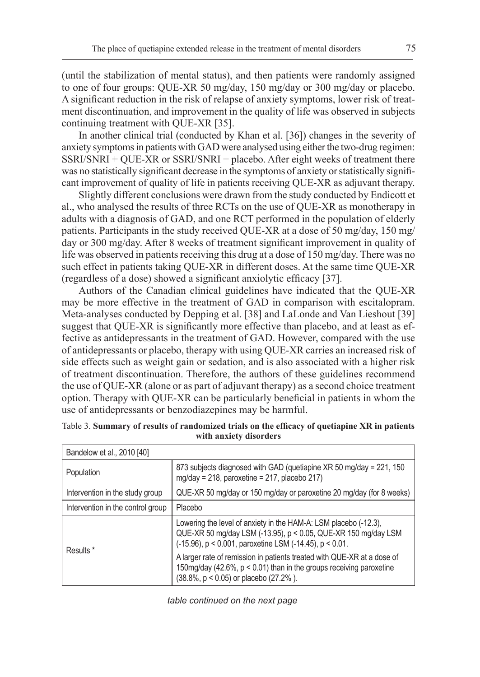(until the stabilization of mental status), and then patients were randomly assigned to one of four groups: QUE-XR 50 mg/day, 150 mg/day or 300 mg/day or placebo. A significant reduction in the risk of relapse of anxiety symptoms, lower risk of treatment discontinuation, and improvement in the quality of life was observed in subjects continuing treatment with QUE-XR [35].

In another clinical trial (conducted by Khan et al. [36]) changes in the severity of anxiety symptoms in patients with GAD were analysed using either the two-drug regimen: SSRI/SNRI + QUE-XR or SSRI/SNRI + placebo. After eight weeks of treatment there was no statistically significant decrease in the symptoms of anxiety or statistically significant improvement of quality of life in patients receiving QUE-XR as adjuvant therapy.

Slightly different conclusions were drawn from the study conducted by Endicott et al., who analysed the results of three RCTs on the use of QUE-XR as monotherapy in adults with a diagnosis of GAD, and one RCT performed in the population of elderly patients. Participants in the study received QUE-XR at a dose of 50 mg/day, 150 mg/ day or 300 mg/day. After 8 weeks of treatment significant improvement in quality of life was observed in patients receiving this drug at a dose of 150 mg/day. There was no such effect in patients taking QUE-XR in different doses. At the same time QUE-XR (regardless of a dose) showed a significant anxiolytic efficacy [37].

Authors of the Canadian clinical guidelines have indicated that the QUE-XR may be more effective in the treatment of GAD in comparison with escitalopram. Meta-analyses conducted by Depping et al. [38] and LaLonde and Van Lieshout [39] suggest that QUE-XR is significantly more effective than placebo, and at least as effective as antidepressants in the treatment of GAD. However, compared with the use of antidepressants or placebo, therapy with using QUE-XR carries an increased risk of side effects such as weight gain or sedation, and is also associated with a higher risk of treatment discontinuation. Therefore, the authors of these guidelines recommend the use of QUE-XR (alone or as part of adjuvant therapy) as a second choice treatment option. Therapy with QUE-XR can be particularly beneficial in patients in whom the use of antidepressants or benzodiazepines may be harmful.

| Bandelow et al., 2010 [40]        |                                                                                                                                                                                               |
|-----------------------------------|-----------------------------------------------------------------------------------------------------------------------------------------------------------------------------------------------|
| Population                        | 873 subjects diagnosed with GAD (quetiapine XR 50 mg/day = 221, 150<br>mg/day = 218, paroxetine = 217, placebo 217)                                                                           |
| Intervention in the study group   | QUE-XR 50 mg/day or 150 mg/day or paroxetine 20 mg/day (for 8 weeks)                                                                                                                          |
| Intervention in the control group | Placebo                                                                                                                                                                                       |
| Results *                         | Lowering the level of anxiety in the HAM-A: LSM placebo (-12.3),<br>QUE-XR 50 mg/day LSM (-13.95), p < 0.05, QUE-XR 150 mg/day LSM<br>(-15.96), p < 0.001, paroxetine LSM (-14.45), p < 0.01. |
|                                   | A larger rate of remission in patients treated with QUE-XR at a dose of<br>150mg/day (42.6%, p < 0.01) than in the groups receiving paroxetine<br>(38.8%, p < 0.05) or placebo (27.2%).       |

| Table 3. Summary of results of randomized trials on the efficacy of quetiapine XR in patients |
|-----------------------------------------------------------------------------------------------|
| with anxiety disorders                                                                        |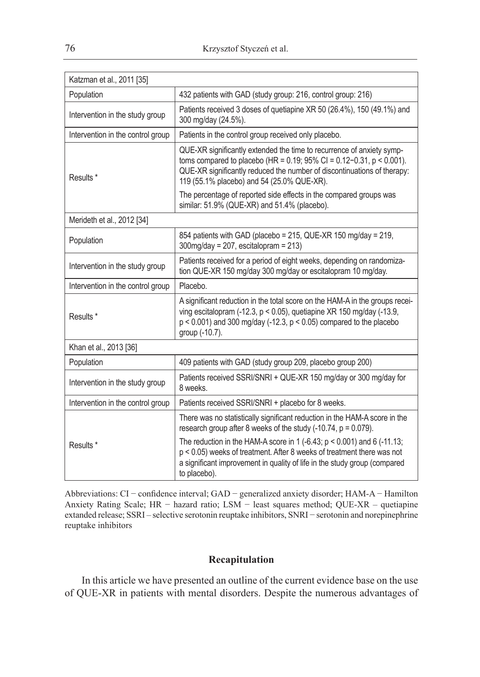| Katzman et al., 2011 [35]         |                                                                                                                                                                                                                                                                                |
|-----------------------------------|--------------------------------------------------------------------------------------------------------------------------------------------------------------------------------------------------------------------------------------------------------------------------------|
| Population                        | 432 patients with GAD (study group: 216, control group: 216)                                                                                                                                                                                                                   |
| Intervention in the study group   | Patients received 3 doses of quetiapine XR 50 (26.4%), 150 (49.1%) and<br>300 mg/day (24.5%).                                                                                                                                                                                  |
| Intervention in the control group | Patients in the control group received only placebo.                                                                                                                                                                                                                           |
| Results <sup>*</sup>              | QUE-XR significantly extended the time to recurrence of anxiety symp-<br>toms compared to placebo (HR = $0.19$ ; 95% CI = $0.12 - 0.31$ , p < 0.001).<br>QUE-XR significantly reduced the number of discontinuations of therapy:<br>119 (55.1% placebo) and 54 (25.0% QUE-XR). |
|                                   | The percentage of reported side effects in the compared groups was<br>similar: 51.9% (QUE-XR) and 51.4% (placebo).                                                                                                                                                             |
| Merideth et al., 2012 [34]        |                                                                                                                                                                                                                                                                                |
| Population                        | 854 patients with GAD (placebo = 215, QUE-XR 150 mg/day = 219,<br>$300$ mg/day = 207, escitalopram = 213)                                                                                                                                                                      |
| Intervention in the study group   | Patients received for a period of eight weeks, depending on randomiza-<br>tion QUE-XR 150 mg/day 300 mg/day or escitalopram 10 mg/day.                                                                                                                                         |
| Intervention in the control group | Placebo.                                                                                                                                                                                                                                                                       |
| Results*                          | A significant reduction in the total score on the HAM-A in the groups recei-<br>ving escitalopram (-12.3, $p < 0.05$ ), quetiapine XR 150 mg/day (-13.9,<br>$p < 0.001$ ) and 300 mg/day (-12.3, $p < 0.05$ ) compared to the placebo<br>group (-10.7).                        |
| Khan et al., 2013 [36]            |                                                                                                                                                                                                                                                                                |
| Population                        | 409 patients with GAD (study group 209, placebo group 200)                                                                                                                                                                                                                     |
| Intervention in the study group   | Patients received SSRI/SNRI + QUE-XR 150 mg/day or 300 mg/day for<br>8 weeks.                                                                                                                                                                                                  |
| Intervention in the control group | Patients received SSRI/SNRI + placebo for 8 weeks.                                                                                                                                                                                                                             |
|                                   | There was no statistically significant reduction in the HAM-A score in the<br>research group after 8 weeks of the study $(-10.74, p = 0.079)$ .                                                                                                                                |
| Results *                         | The reduction in the HAM-A score in 1 (-6.43; $p < 0.001$ ) and 6 (-11.13;<br>p < 0.05) weeks of treatment. After 8 weeks of treatment there was not<br>a significant improvement in quality of life in the study group (compared<br>to placebo).                              |

Abbreviations: CI − confidence interval; GAD − generalized anxiety disorder; HAM-A − Hamilton Anxiety Rating Scale; HR − hazard ratio; LSM − least squares method; QUE-XR – quetiapine extanded release; SSRI – selective serotonin reuptake inhibitors, SNRI − serotonin and norepinephrine reuptake inhibitors

## **Recapitulation**

In this article we have presented an outline of the current evidence base on the use of QUE-XR in patients with mental disorders. Despite the numerous advantages of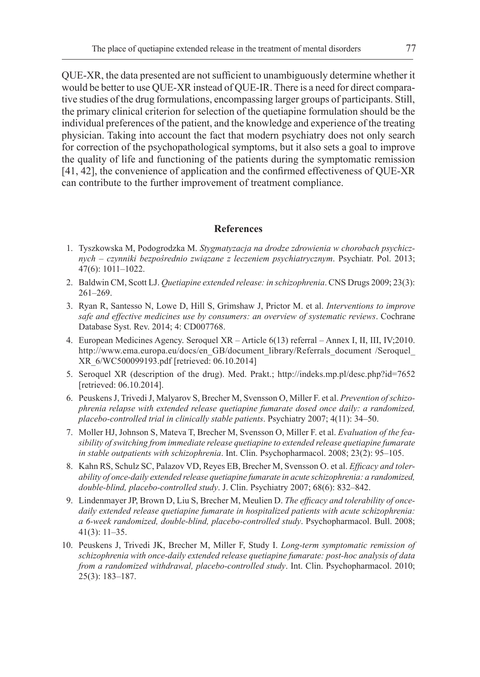QUE-XR, the data presented are not sufficient to unambiguously determine whether it would be better to use QUE-XR instead of QUE-IR. There is a need for direct comparative studies of the drug formulations, encompassing larger groups of participants. Still, the primary clinical criterion for selection of the quetiapine formulation should be the individual preferences of the patient, and the knowledge and experience of the treating physician. Taking into account the fact that modern psychiatry does not only search for correction of the psychopathological symptoms, but it also sets a goal to improve the quality of life and functioning of the patients during the symptomatic remission [41, 42], the convenience of application and the confirmed effectiveness of QUE-XR can contribute to the further improvement of treatment compliance.

#### **References**

- 1. Tyszkowska M, Podogrodzka M. *Stygmatyzacja na drodze zdrowienia w chorobach psychicznych – czynniki bezpośrednio związane z leczeniem psychiatrycznym*. Psychiatr. Pol. 2013; 47(6): 1011–1022.
- 2. Baldwin CM, Scott LJ. *Quetiapine extended release: in schizophrenia*. CNS Drugs 2009; 23(3): 261–269.
- 3. Ryan R, Santesso N, Lowe D, Hill S, Grimshaw J, Prictor M. et al. *Interventions to improve safe and effective medicines use by consumers: an overview of systematic reviews*. Cochrane Database Syst. Rev. 2014; 4: CD007768.
- 4. European Medicines Agency. Seroquel XR Article 6(13) referral Annex I, II, III, IV;2010. http://www.ema.europa.eu/docs/en\_GB/document\_library/Referrals\_document /Seroquel\_ XR\_6/WC500099193.pdf [retrieved: 06.10.2014]
- 5. Seroquel XR (description of the drug). Med. Prakt.; http://indeks.mp.pl/desc.php?id=7652 [retrieved: 06.10.2014].
- 6. Peuskens J, Trivedi J, Malyarov S, Brecher M, Svensson O, Miller F. et al. *Prevention of schizophrenia relapse with extended release quetiapine fumarate dosed once daily: a randomized, placebo-controlled trial in clinically stable patients*. Psychiatry 2007; 4(11): 34–50.
- 7. Moller HJ, Johnson S, Mateva T, Brecher M, Svensson O, Miller F. et al. *Evaluation of the feasibility of switching from immediate release quetiapine to extended release quetiapine fumarate in stable outpatients with schizophrenia*. Int. Clin. Psychopharmacol. 2008; 23(2): 95–105.
- 8. Kahn RS, Schulz SC, Palazov VD, Reyes EB, Brecher M, Svensson O. et al. *Efficacy and tolerability of once-daily extended release quetiapine fumarate in acute schizophrenia: a randomized, double-blind, placebo-controlled study*. J. Clin. Psychiatry 2007; 68(6): 832–842.
- 9. Lindenmayer JP, Brown D, Liu S, Brecher M, Meulien D. *The efficacy and tolerability of oncedaily extended release quetiapine fumarate in hospitalized patients with acute schizophrenia: a 6-week randomized, double-blind, placebo-controlled study*. Psychopharmacol. Bull. 2008; 41(3): 11–35.
- 10. Peuskens J, Trivedi JK, Brecher M, Miller F, Study I. *Long-term symptomatic remission of schizophrenia with once-daily extended release quetiapine fumarate: post-hoc analysis of data from a randomized withdrawal, placebo-controlled study*. Int. Clin. Psychopharmacol. 2010; 25(3): 183–187.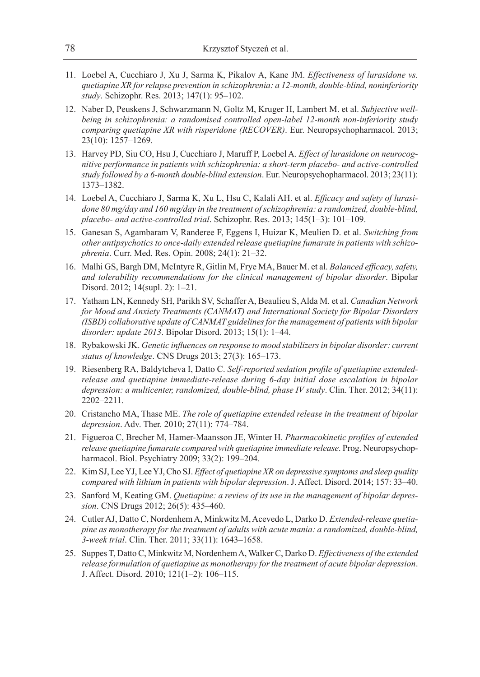- 11. Loebel A, Cucchiaro J, Xu J, Sarma K, Pikalov A, Kane JM. *Effectiveness of lurasidone vs. quetiapine XR for relapse prevention in schizophrenia: a 12-month, double-blind, noninferiority study*. Schizophr. Res. 2013; 147(1): 95–102.
- 12. Naber D, Peuskens J, Schwarzmann N, Goltz M, Kruger H, Lambert M. et al. *Subjective wellbeing in schizophrenia: a randomised controlled open-label 12-month non-inferiority study comparing quetiapine XR with risperidone (RECOVER)*. Eur. Neuropsychopharmacol. 2013; 23(10): 1257–1269.
- 13. Harvey PD, Siu CO, Hsu J, Cucchiaro J, Maruff P, Loebel A. *Effect of lurasidone on neurocognitive performance in patients with schizophrenia: a short-term placebo- and active-controlled study followed by a 6-month double-blind extension*. Eur. Neuropsychopharmacol. 2013; 23(11): 1373–1382.
- 14. Loebel A, Cucchiaro J, Sarma K, Xu L, Hsu C, Kalali AH. et al. *Efficacy and safety of lurasidone 80 mg/day and 160 mg/day in the treatment of schizophrenia: a randomized, double-blind, placebo- and active-controlled trial*. Schizophr. Res. 2013; 145(1–3): 101–109.
- 15. Ganesan S, Agambaram V, Randeree F, Eggens I, Huizar K, Meulien D. et al. *Switching from other antipsychotics to once-daily extended release quetiapine fumarate in patients with schizophrenia*. Curr. Med. Res. Opin. 2008; 24(1): 21–32.
- 16. Malhi GS, Bargh DM, McIntyre R, Gitlin M, Frye MA, Bauer M. et al. *Balanced efficacy, safety, and tolerability recommendations for the clinical management of bipolar disorder*. Bipolar Disord. 2012; 14(supl. 2): 1–21.
- 17. Yatham LN, Kennedy SH, Parikh SV, Schaffer A, Beaulieu S, Alda M. et al. *Canadian Network for Mood and Anxiety Treatments (CANMAT) and International Society for Bipolar Disorders (ISBD) collaborative update of CANMAT guidelines for the management of patients with bipolar disorder: update 2013*. Bipolar Disord. 2013; 15(1): 1–44.
- 18. Rybakowski JK. *Genetic influences on response to mood stabilizers in bipolar disorder: current status of knowledge*. CNS Drugs 2013; 27(3): 165–173.
- 19. Riesenberg RA, Baldytcheva I, Datto C. *Self-reported sedation profile of quetiapine extendedrelease and quetiapine immediate-release during 6-day initial dose escalation in bipolar depression: a multicenter, randomized, double-blind, phase IV study*. Clin. Ther. 2012; 34(11): 2202–2211.
- 20. Cristancho MA, Thase ME. *The role of quetiapine extended release in the treatment of bipolar depression*. Adv. Ther. 2010; 27(11): 774–784.
- 21. Figueroa C, Brecher M, Hamer-Maansson JE, Winter H. *Pharmacokinetic profiles of extended release quetiapine fumarate compared with quetiapine immediate release*. Prog. Neuropsychopharmacol. Biol. Psychiatry 2009; 33(2): 199–204.
- 22. Kim SJ, Lee YJ, Lee YJ, Cho SJ. *Effect of quetiapine XR on depressive symptoms and sleep quality compared with lithium in patients with bipolar depression*. J. Affect. Disord. 2014; 157: 33–40.
- 23. Sanford M, Keating GM. *Quetiapine: a review of its use in the management of bipolar depression*. CNS Drugs 2012; 26(5): 435–460.
- 24. Cutler AJ, Datto C, Nordenhem A, Minkwitz M, Acevedo L, Darko D. *Extended-release quetiapine as monotherapy for the treatment of adults with acute mania: a randomized, double-blind, 3-week trial*. Clin. Ther. 2011; 33(11): 1643–1658.
- 25. Suppes T, Datto C, Minkwitz M, Nordenhem A, Walker C, Darko D. *Effectiveness of the extended release formulation of quetiapine as monotherapy for the treatment of acute bipolar depression*. J. Affect. Disord. 2010; 121(1–2): 106–115.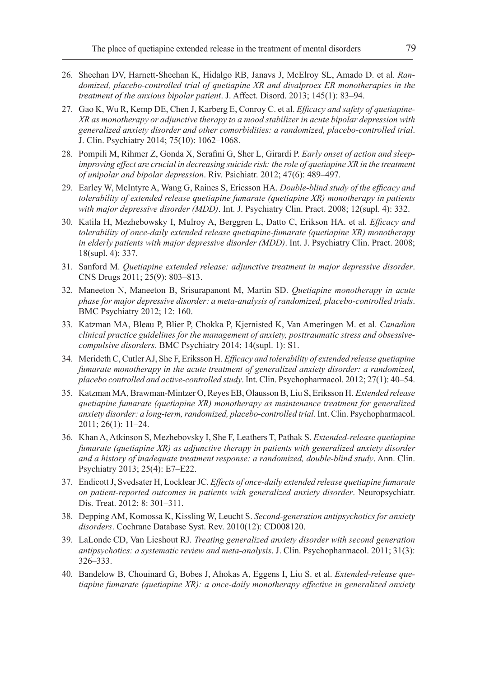- 26. Sheehan DV, Harnett-Sheehan K, Hidalgo RB, Janavs J, McElroy SL, Amado D. et al. *Randomized, placebo-controlled trial of quetiapine XR and divalproex ER monotherapies in the treatment of the anxious bipolar patient*. J. Affect. Disord. 2013; 145(1): 83–94.
- 27. Gao K, Wu R, Kemp DE, Chen J, Karberg E, Conroy C. et al. *Efficacy and safety of quetiapine-XR as monotherapy or adjunctive therapy to a mood stabilizer in acute bipolar depression with generalized anxiety disorder and other comorbidities: a randomized, placebo-controlled trial*. J. Clin. Psychiatry 2014; 75(10): 1062–1068.
- 28. Pompili M, Rihmer Z, Gonda X, Serafini G, Sher L, Girardi P. *Early onset of action and sleepimproving effect are crucial in decreasing suicide risk: the role of quetiapine XR in the treatment of unipolar and bipolar depression*. Riv. Psichiatr. 2012; 47(6): 489–497.
- 29. Earley W, McIntyre A, Wang G, Raines S, Ericsson HA. *Double-blind study of the efficacy and tolerability of extended release quetiapine fumarate (quetiapine XR) monotherapy in patients with major depressive disorder (MDD)*. Int. J. Psychiatry Clin. Pract. 2008; 12(supl. 4): 332.
- 30. Katila H, Mezhebowsky I, Mulroy A, Berggren L, Datto C, Erikson HA. et al. *Efficacy and tolerability of once-daily extended release quetiapine-fumarate (quetiapine XR) monotherapy in elderly patients with major depressive disorder (MDD)*. Int. J. Psychiatry Clin. Pract. 2008; 18(supl. 4): 337.
- 31. Sanford M. *Quetiapine extended release: adjunctive treatment in major depressive disorder*. CNS Drugs 2011; 25(9): 803–813.
- 32. Maneeton N, Maneeton B, Srisurapanont M, Martin SD. *Quetiapine monotherapy in acute phase for major depressive disorder: a meta-analysis of randomized, placebo-controlled trials*. BMC Psychiatry 2012; 12: 160.
- 33. Katzman MA, Bleau P, Blier P, Chokka P, Kjernisted K, Van Ameringen M. et al. *Canadian clinical practice guidelines for the management of anxiety, posttraumatic stress and obsessivecompulsive disorders*. BMC Psychiatry 2014; 14(supl. 1): S1.
- 34. Merideth C, Cutler AJ, She F, Eriksson H. *Efficacy and tolerability of extended release quetiapine fumarate monotherapy in the acute treatment of generalized anxiety disorder: a randomized, placebo controlled and active-controlled study*. Int. Clin. Psychopharmacol. 2012; 27(1): 40–54.
- 35. Katzman MA, Brawman-Mintzer O, Reyes EB, Olausson B, Liu S, Eriksson H. *Extended release quetiapine fumarate (quetiapine XR) monotherapy as maintenance treatment for generalized anxiety disorder: a long-term, randomized, placebo-controlled trial*. Int. Clin. Psychopharmacol. 2011; 26(1): 11–24.
- 36. Khan A, Atkinson S, Mezhebovsky I, She F, Leathers T, Pathak S. *Extended-release quetiapine fumarate (quetiapine XR) as adjunctive therapy in patients with generalized anxiety disorder and a history of inadequate treatment response: a randomized, double-blind study*. Ann. Clin. Psychiatry 2013; 25(4): E7–E22.
- 37. Endicott J, Svedsater H, Locklear JC. *Effects of once-daily extended release quetiapine fumarate on patient-reported outcomes in patients with generalized anxiety disorder*. Neuropsychiatr. Dis. Treat. 2012; 8: 301–311.
- 38. Depping AM, Komossa K, Kissling W, Leucht S. *Second-generation antipsychotics for anxiety disorders*. Cochrane Database Syst. Rev. 2010(12): CD008120.
- 39. LaLonde CD, Van Lieshout RJ. *Treating generalized anxiety disorder with second generation antipsychotics: a systematic review and meta-analysis*. J. Clin. Psychopharmacol. 2011; 31(3): 326–333.
- 40. Bandelow B, Chouinard G, Bobes J, Ahokas A, Eggens I, Liu S. et al. *Extended-release quetiapine fumarate (quetiapine XR): a once-daily monotherapy effective in generalized anxiety*